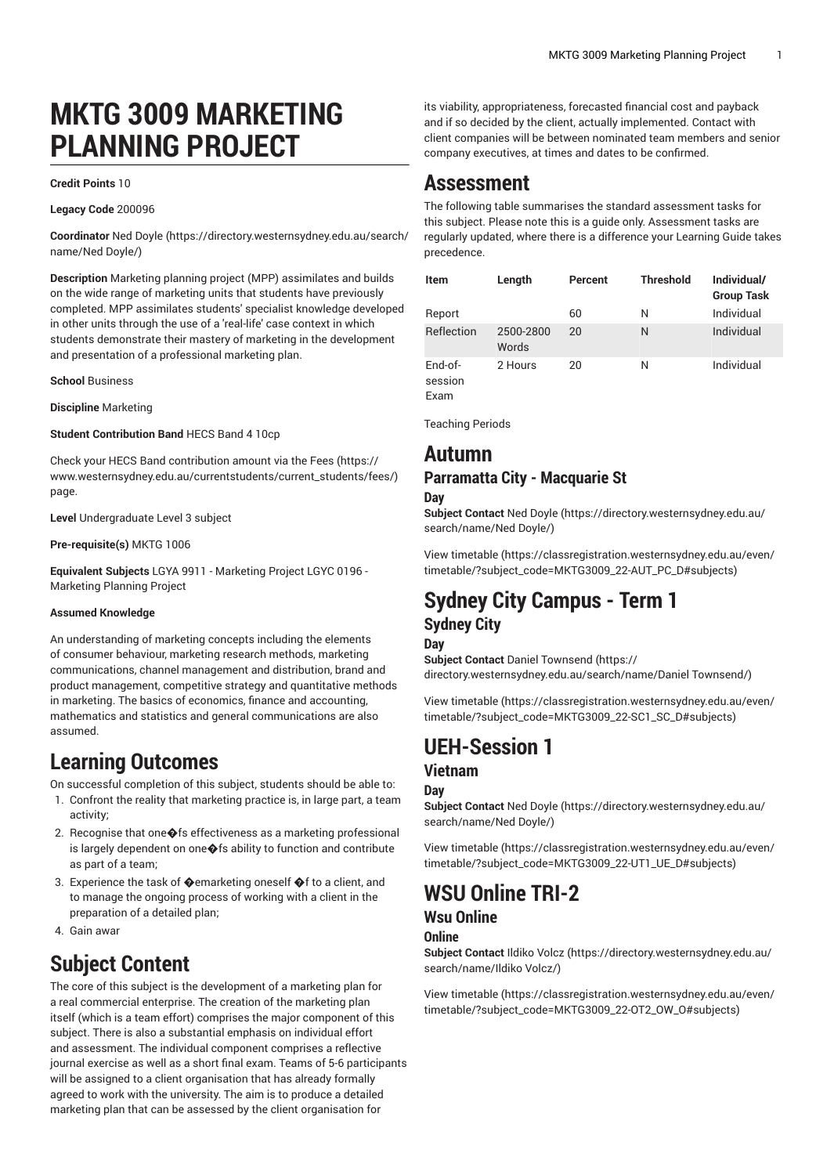# **MKTG 3009 MARKETING PLANNING PROJECT**

#### **Credit Points** 10

**Legacy Code** 200096

**Coordinator** Ned [Doyle](https://directory.westernsydney.edu.au/search/name/Ned Doyle/) ([https://directory.westernsydney.edu.au/search/](https://directory.westernsydney.edu.au/search/name/Ned Doyle/) [name/Ned](https://directory.westernsydney.edu.au/search/name/Ned Doyle/) Doyle/)

**Description** Marketing planning project (MPP) assimilates and builds on the wide range of marketing units that students have previously completed. MPP assimilates students' specialist knowledge developed in other units through the use of a 'real-life' case context in which students demonstrate their mastery of marketing in the development and presentation of a professional marketing plan.

**School** Business

**Discipline** Marketing

**Student Contribution Band** HECS Band 4 10cp

Check your HECS Band contribution amount via the [Fees \(https://](https://www.westernsydney.edu.au/currentstudents/current_students/fees/) [www.westernsydney.edu.au/currentstudents/current\\_students/fees/\)](https://www.westernsydney.edu.au/currentstudents/current_students/fees/) page.

**Level** Undergraduate Level 3 subject

**Pre-requisite(s)** [MKTG](/search/?P=MKTG%201006) 1006

**Equivalent Subjects** LGYA 9911 - Marketing Project LGYC 0196 - Marketing Planning Project

#### **Assumed Knowledge**

An understanding of marketing concepts including the elements of consumer behaviour, marketing research methods, marketing communications, channel management and distribution, brand and product management, competitive strategy and quantitative methods in marketing. The basics of economics, finance and accounting, mathematics and statistics and general communications are also assumed.

### **Learning Outcomes**

On successful completion of this subject, students should be able to:

- 1. Confront the reality that marketing practice is, in large part, a team activity;
- 2. Recognise that one�fs effectiveness as a marketing professional is largely dependent on one  $\blacklozenge$  fs ability to function and contribute as part of a team;
- 3. Experience the task of �emarketing oneself �f to a client, and to manage the ongoing process of working with a client in the preparation of a detailed plan;
- 4. Gain awar

## **Subject Content**

The core of this subject is the development of a marketing plan for a real commercial enterprise. The creation of the marketing plan itself (which is a team effort) comprises the major component of this subject. There is also a substantial emphasis on individual effort and assessment. The individual component comprises a reflective journal exercise as well as a short final exam. Teams of 5-6 participants will be assigned to a client organisation that has already formally agreed to work with the university. The aim is to produce a detailed marketing plan that can be assessed by the client organisation for

its viability, appropriateness, forecasted financial cost and payback and if so decided by the client, actually implemented. Contact with client companies will be between nominated team members and senior company executives, at times and dates to be confirmed.

### **Assessment**

The following table summarises the standard assessment tasks for this subject. Please note this is a guide only. Assessment tasks are regularly updated, where there is a difference your Learning Guide takes precedence.

| Item               | Length             | Percent | <b>Threshold</b> | Individual/<br><b>Group Task</b> |
|--------------------|--------------------|---------|------------------|----------------------------------|
| Report             |                    | 60      | N                | Individual                       |
| Reflection         | 2500-2800<br>Words | 20      | N                | Individual                       |
| End-of-<br>session | 2 Hours            | 20      | N                | Individual                       |

Exam

Teaching Periods

### **Autumn Parramatta City - Macquarie St**

#### **Day**

**Subject Contact** Ned [Doyle](https://directory.westernsydney.edu.au/search/name/Ned Doyle/) ([https://directory.westernsydney.edu.au/](https://directory.westernsydney.edu.au/search/name/Ned Doyle/) [search/name/Ned](https://directory.westernsydney.edu.au/search/name/Ned Doyle/) Doyle/)

[View timetable](https://classregistration.westernsydney.edu.au/even/timetable/?subject_code=MKTG3009_22-AUT_PC_D#subjects) [\(https://classregistration.westernsydney.edu.au/even/](https://classregistration.westernsydney.edu.au/even/timetable/?subject_code=MKTG3009_22-AUT_PC_D#subjects) [timetable/?subject\\_code=MKTG3009\\_22-AUT\\_PC\\_D#subjects](https://classregistration.westernsydney.edu.au/even/timetable/?subject_code=MKTG3009_22-AUT_PC_D#subjects))

## **Sydney City Campus - Term 1 Sydney City**

#### **Day**

**Subject Contact** Daniel [Townsend](https://directory.westernsydney.edu.au/search/name/Daniel Townsend/) ([https://](https://directory.westernsydney.edu.au/search/name/Daniel Townsend/) [directory.westernsydney.edu.au/search/name/Daniel](https://directory.westernsydney.edu.au/search/name/Daniel Townsend/) Townsend/)

[View timetable](https://classregistration.westernsydney.edu.au/even/timetable/?subject_code=MKTG3009_22-SC1_SC_D#subjects) [\(https://classregistration.westernsydney.edu.au/even/](https://classregistration.westernsydney.edu.au/even/timetable/?subject_code=MKTG3009_22-SC1_SC_D#subjects) [timetable/?subject\\_code=MKTG3009\\_22-SC1\\_SC\\_D#subjects](https://classregistration.westernsydney.edu.au/even/timetable/?subject_code=MKTG3009_22-SC1_SC_D#subjects))

## **UEH-Session 1**

### **Vietnam**

### **Day**

**Subject Contact** Ned [Doyle](https://directory.westernsydney.edu.au/search/name/Ned Doyle/) ([https://directory.westernsydney.edu.au/](https://directory.westernsydney.edu.au/search/name/Ned Doyle/) [search/name/Ned](https://directory.westernsydney.edu.au/search/name/Ned Doyle/) Doyle/)

[View timetable](https://classregistration.westernsydney.edu.au/even/timetable/?subject_code=MKTG3009_22-UT1_UE_D#subjects) [\(https://classregistration.westernsydney.edu.au/even/](https://classregistration.westernsydney.edu.au/even/timetable/?subject_code=MKTG3009_22-UT1_UE_D#subjects) [timetable/?subject\\_code=MKTG3009\\_22-UT1\\_UE\\_D#subjects](https://classregistration.westernsydney.edu.au/even/timetable/?subject_code=MKTG3009_22-UT1_UE_D#subjects))

## **WSU Online TRI-2**

### **Wsu Online**

### **Online**

**Subject Contact** Ildiko [Volcz \(https://directory.westernsydney.edu.au/](https://directory.westernsydney.edu.au/search/name/Ildiko Volcz/) [search/name/Ildiko](https://directory.westernsydney.edu.au/search/name/Ildiko Volcz/) Volcz/)

[View timetable](https://classregistration.westernsydney.edu.au/even/timetable/?subject_code=MKTG3009_22-OT2_OW_O#subjects) [\(https://classregistration.westernsydney.edu.au/even/](https://classregistration.westernsydney.edu.au/even/timetable/?subject_code=MKTG3009_22-OT2_OW_O#subjects) [timetable/?subject\\_code=MKTG3009\\_22-OT2\\_OW\\_O#subjects\)](https://classregistration.westernsydney.edu.au/even/timetable/?subject_code=MKTG3009_22-OT2_OW_O#subjects)